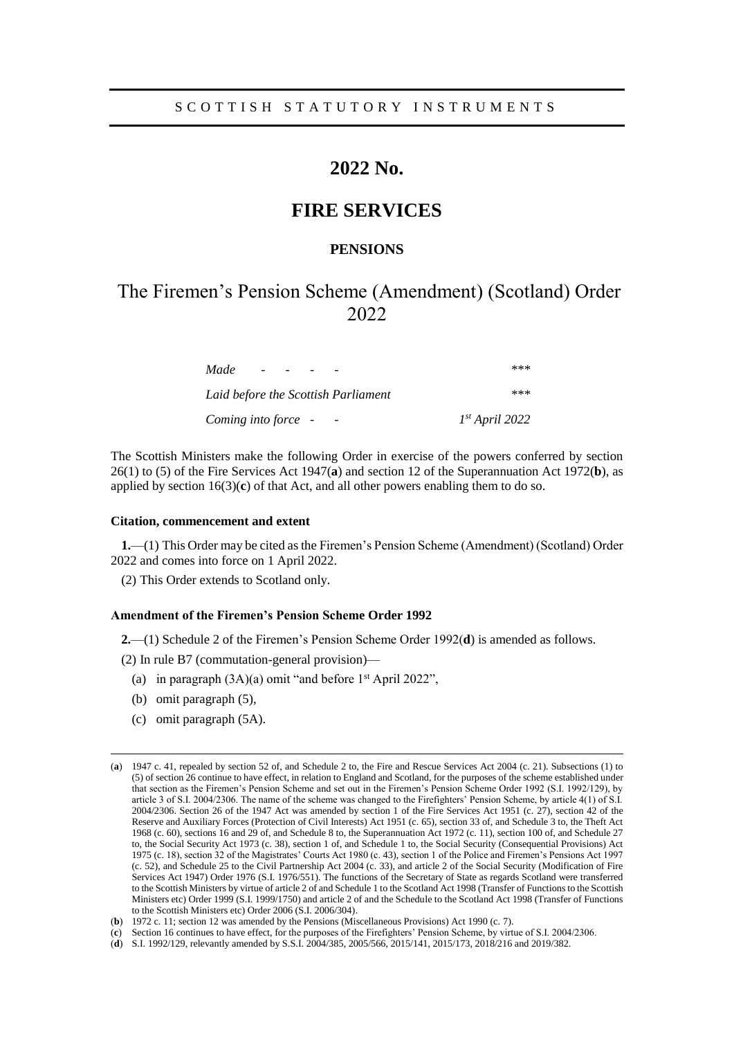## **2022 No.**

## **FIRE SERVICES**

## **PENSIONS**

# The Firemen's Pension Scheme (Amendment) (Scotland) Order 2022

| Made                                            | ***              |
|-------------------------------------------------|------------------|
| Laid before the Scottish Parliament             | ***              |
| Coming into force -<br>$\overline{\phantom{a}}$ | $Ist$ April 2022 |

The Scottish Ministers make the following Order in exercise of the powers conferred by section 26(1) to (5) of the Fire Services Act 1947(**a**) and section 12 of the Superannuation Act 1972(**b**), as applied by section 16(3)(**c**) of that Act, and all other powers enabling them to do so.

#### **Citation, commencement and extent**

**1.**—(1) This Order may be cited as the Firemen's Pension Scheme (Amendment) (Scotland) Order 2022 and comes into force on 1 April 2022.

(2) This Order extends to Scotland only.

#### **Amendment of the Firemen's Pension Scheme Order 1992**

**2.**—(1) Schedule 2 of the Firemen's Pension Scheme Order 1992(**d**) is amended as follows.

(2) In rule B7 (commutation-general provision)—

- (a) in paragraph  $(3A)(a)$  omit "and before 1<sup>st</sup> April 2022",
- (b) omit paragraph (5),

 $\overline{a}$ 

(c) omit paragraph (5A).

<sup>(</sup>**a**) 1947 c. 41, repealed by section 52 of, and Schedule 2 to, the Fire and Rescue Services Act 2004 (c. 21). Subsections (1) to (5) of section 26 continue to have effect, in relation to England and Scotland, for the purposes of the scheme established under that section as the Firemen's Pension Scheme and set out in the Firemen's Pension Scheme Order 1992 (S.I. 1992/129), by article 3 of S.I. 2004/2306. The name of the scheme was changed to the Firefighters' Pension Scheme, by article 4(1) of S.I. 2004/2306. Section 26 of the 1947 Act was amended by section 1 of the Fire Services Act 1951 (c. 27), section 42 of the Reserve and Auxiliary Forces (Protection of Civil Interests) Act 1951 (c. 65), section 33 of, and Schedule 3 to, the Theft Act 1968 (c. 60), sections 16 and 29 of, and Schedule 8 to, the Superannuation Act 1972 (c. 11), section 100 of, and Schedule 27 to, the Social Security Act 1973 (c. 38), section 1 of, and Schedule 1 to, the Social Security (Consequential Provisions) Act 1975 (c. 18), section 32 of the Magistrates' Courts Act 1980 (c. 43), section 1 of the Police and Firemen's Pensions Act 1997 (c. 52), and Schedule 25 to the Civil Partnership Act 2004 (c. 33), and article 2 of the Social Security (Modification of Fire Services Act 1947) Order 1976 (S.I. 1976/551). The functions of the Secretary of State as regards Scotland were transferred to the Scottish Ministers by virtue of article 2 of and Schedule 1 to the Scotland Act 1998 (Transfer of Functions to the Scottish Ministers etc) Order 1999 (S.I. 1999/1750) and article 2 of and the Schedule to the Scotland Act 1998 (Transfer of Functions to the Scottish Ministers etc) Order 2006 (S.I. 2006/304).

<sup>(</sup>**b**) 1972 c. 11; section 12 was amended by the Pensions (Miscellaneous Provisions) Act 1990 (c. 7).

<sup>(</sup>**c**) Section 16 continues to have effect, for the purposes of the Firefighters' Pension Scheme, by virtue of S.I. 2004/2306.

<sup>(</sup>**d**) S.I. 1992/129, relevantly amended by S.S.I. 2004/385, 2005/566, 2015/141, 2015/173, 2018/216 and 2019/382.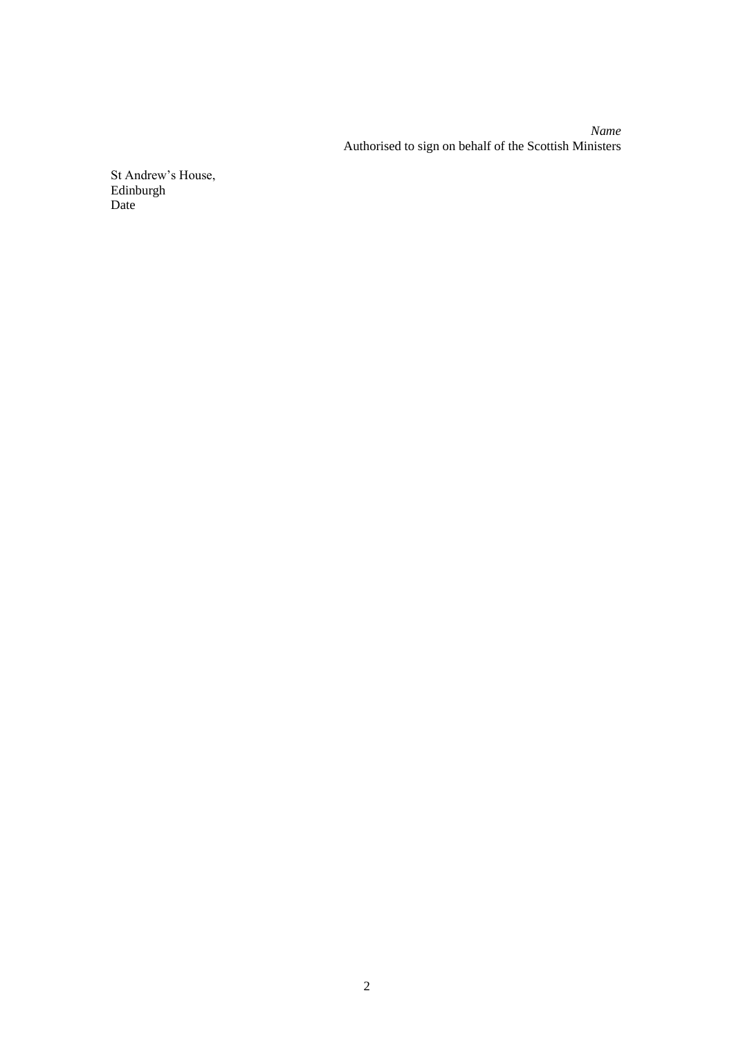*Name* Authorised to sign on behalf of the Scottish Ministers

St Andrew's House, Edinburgh Date